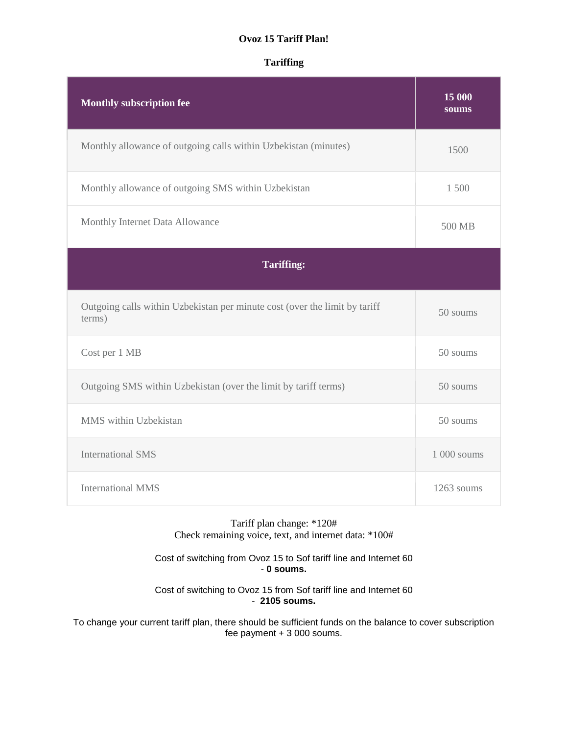## **Ovoz 15 Tariff Plan!**

# **Tariffing**

| <b>Monthly subscription fee</b>                                                      | 15 000<br>soums |
|--------------------------------------------------------------------------------------|-----------------|
| Monthly allowance of outgoing calls within Uzbekistan (minutes)                      | 1500            |
| Monthly allowance of outgoing SMS within Uzbekistan                                  | 1 500           |
| Monthly Internet Data Allowance                                                      | 500 MB          |
| <b>Tariffing:</b>                                                                    |                 |
| Outgoing calls within Uzbekistan per minute cost (over the limit by tariff<br>terms) | 50 soums        |
| Cost per 1 MB                                                                        | 50 soums        |
| Outgoing SMS within Uzbekistan (over the limit by tariff terms)                      | 50 soums        |
| MMS within Uzbekistan                                                                | 50 soums        |
| <b>International SMS</b>                                                             | 1 000 soums     |
| <b>International MMS</b>                                                             | 1263 soums      |

Tariff plan change: \*120# Check remaining voice, text, and internet data: \*100#

Cost of switching from Ovoz 15 to Sof tariff line and Internet 60 - **0 soums.**

Cost of switching to Ovoz 15 from Sof tariff line and Internet 60 - **2105 soums.**

To change your current tariff plan, there should be sufficient funds on the balance to cover subscription fee payment + 3 000 soums.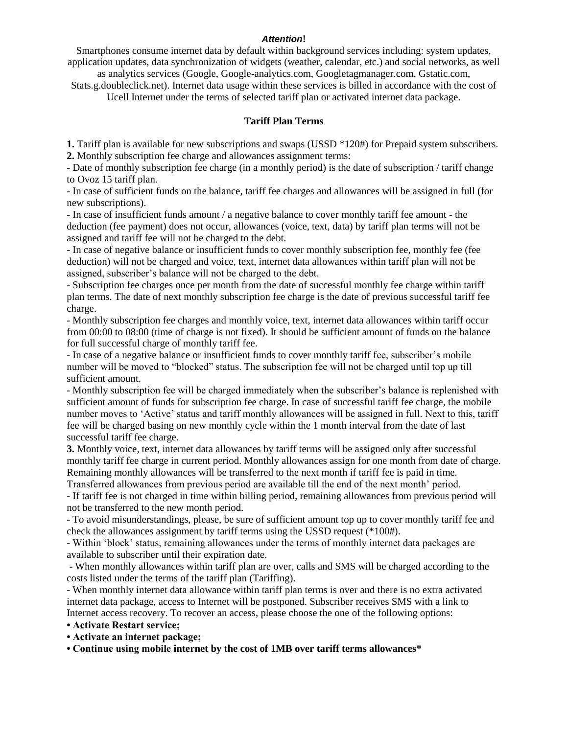#### *Attention***!**

Smartphones consume internet data by default within background services including: system updates, application updates, data synchronization of widgets (weather, calendar, etc.) and social networks, as well

as analytics services (Google, Google-analytics.com, Googletagmanager.com, Gstatic.com, Stats.g.doubleclick.net). Internet data usage within these services is billed in accordance with the cost of

Ucell Internet under the terms of selected tariff plan or activated internet data package.

### **Tariff Plan Terms**

**1.** Tariff plan is available for new subscriptions and swaps (USSD \*120#) for Prepaid system subscribers. **2.** Monthly subscription fee charge and allowances assignment terms:

- Date of monthly subscription fee charge (in a monthly period) is the date of subscription / tariff change to Ovoz 15 tariff plan.

- In case of sufficient funds on the balance, tariff fee charges and allowances will be assigned in full (for new subscriptions).

- In case of insufficient funds amount / a negative balance to cover monthly tariff fee amount - the deduction (fee payment) does not occur, allowances (voice, text, data) by tariff plan terms will not be assigned and tariff fee will not be charged to the debt.

- In case of negative balance or insufficient funds to cover monthly subscription fee, monthly fee (fee deduction) will not be charged and voice, text, internet data allowances within tariff plan will not be assigned, subscriber's balance will not be charged to the debt.

- Subscription fee charges once per month from the date of successful monthly fee charge within tariff plan terms. The date of next monthly subscription fee charge is the date of previous successful tariff fee charge.

- Monthly subscription fee charges and monthly voice, text, internet data allowances within tariff occur from 00:00 to 08:00 (time of charge is not fixed). It should be sufficient amount of funds on the balance for full successful charge of monthly tariff fee.

- In case of a negative balance or insufficient funds to cover monthly tariff fee, subscriber's mobile number will be moved to "blocked" status. The subscription fee will not be charged until top up till sufficient amount.

- Monthly subscription fee will be charged immediately when the subscriber's balance is replenished with sufficient amount of funds for subscription fee charge. In case of successful tariff fee charge, the mobile number moves to 'Active' status and tariff monthly allowances will be assigned in full. Next to this, tariff fee will be charged basing on new monthly cycle within the 1 month interval from the date of last successful tariff fee charge.

**3.** Monthly voice, text, internet data allowances by tariff terms will be assigned only after successful monthly tariff fee charge in current period. Monthly allowances assign for one month from date of charge. Remaining monthly allowances will be transferred to the next month if tariff fee is paid in time.

Transferred allowances from previous period are available till the end of the next month' period. - If tariff fee is not charged in time within billing period, remaining allowances from previous period will not be transferred to the new month period.

- To avoid misunderstandings, please, be sure of sufficient amount top up to cover monthly tariff fee and check the allowances assignment by tariff terms using the USSD request (\*100#).

- Within 'block' status, remaining allowances under the terms of monthly internet data packages are available to subscriber until their expiration date.

- When monthly allowances within tariff plan are over, calls and SMS will be charged according to the costs listed under the terms of the tariff plan (Tariffing).

- When monthly internet data allowance within tariff plan terms is over and there is no extra activated internet data package, access to Internet will be postponed. Subscriber receives SMS with a link to Internet access recovery. To recover an access, please choose the one of the following options:

- **Activate Restart service;**
- **Activate an internet package;**

**• Continue using mobile internet by the cost of 1MB over tariff terms allowances\***